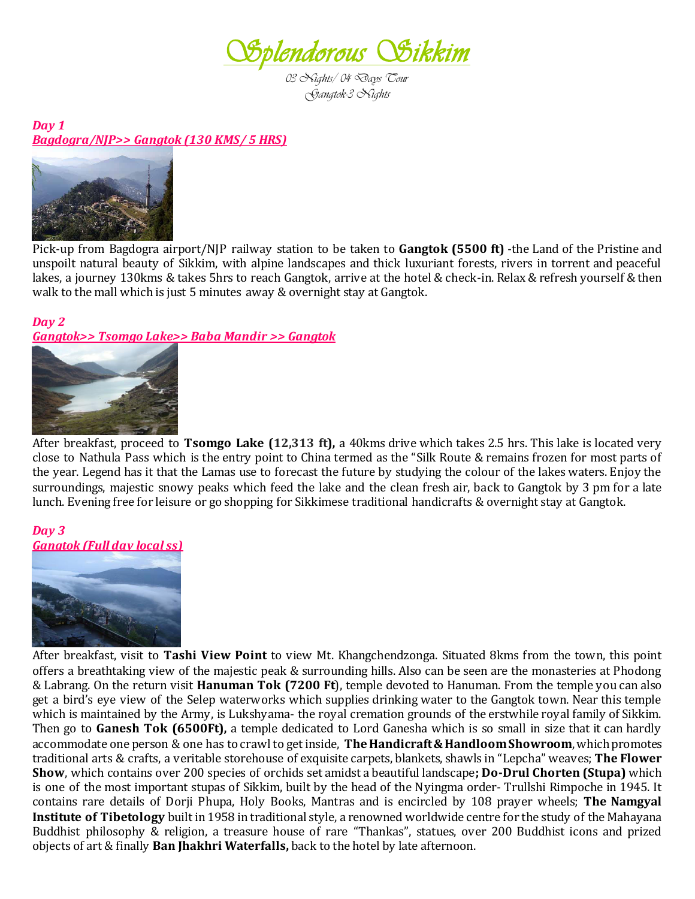

*03 Nights/ 04 Days Tour Gangtok-3 Nights* 

*Day 1 Bagdogra/NJP>> Gangtok (130 KMS/ 5 HRS)*



Pick-up from Bagdogra airport/NJP railway station to be taken to **Gangtok (5500 ft)** -the Land of the Pristine and unspoilt natural beauty of Sikkim, with alpine landscapes and thick luxuriant forests, rivers in torrent and peaceful lakes, a journey 130kms & takes 5hrs to reach Gangtok, arrive at the hotel & check-in. Relax & refresh yourself & then walk to the mall which is just 5 minutes away & overnight stay at Gangtok.

## *Day 2*

*Gangtok>> Tsomgo Lake>> Baba Mandir >> Gangtok* 



After breakfast, proceed to **Tsomgo Lake (12,313 ft),** a 40kms drive which takes 2.5 hrs. This lake is located very close to Nathula Pass which is the entry point to China termed as the "Silk Route & remains frozen for most parts of the year. Legend has it that the Lamas use to forecast the future by studying the colour of the lakes waters. Enjoy the surroundings, majestic snowy peaks which feed the lake and the clean fresh air, back to Gangtok by 3 pm for a late lunch. Evening free for leisure or go shopping for Sikkimese traditional handicrafts & overnight stay at Gangtok.

## *Day 3 Gangtok (Full day local ss)*



After breakfast, visit to **Tashi View Point** to view Mt. Khangchendzonga. Situated 8kms from the town, this point offers a breathtaking view of the majestic peak & surrounding hills. Also can be seen are the monasteries at Phodong & Labrang. On the return visit **Hanuman Tok (7200 Ft**), temple devoted to Hanuman. From the temple you can also get a bird's eye view of the Selep waterworks which supplies drinking water to the Gangtok town. Near this temple which is maintained by the Army, is Lukshyama- the royal cremation grounds of the erstwhile royal family of Sikkim. Then go to **Ganesh Tok (6500Ft),** a temple dedicated to Lord Ganesha which is so small in size that it can hardly accommodate one person & one has to crawl to get inside, **TheHandicraft & Handloom Showroom**, which promotes traditional arts & crafts, a veritable storehouse of exquisite carpets, blankets, shawls in "Lepcha" weaves; **The Flower Show**, which contains over 200 species of orchids set amidst a beautiful landscape**; Do-Drul Chorten (Stupa)** which is one of the most important stupas of Sikkim, built by the head of the Nyingma order- Trullshi Rimpoche in 1945. It contains rare details of Dorji Phupa, Holy Books, Mantras and is encircled by 108 prayer wheels; **The Namgyal Institute of Tibetology** built in 1958 in traditional style, a renowned worldwide centre for the study of the Mahayana Buddhist philosophy & religion, a treasure house of rare "Thankas", statues, over 200 Buddhist icons and prized objects of art & finally **Ban Jhakhri Waterfalls,** back to the hotel by late afternoon.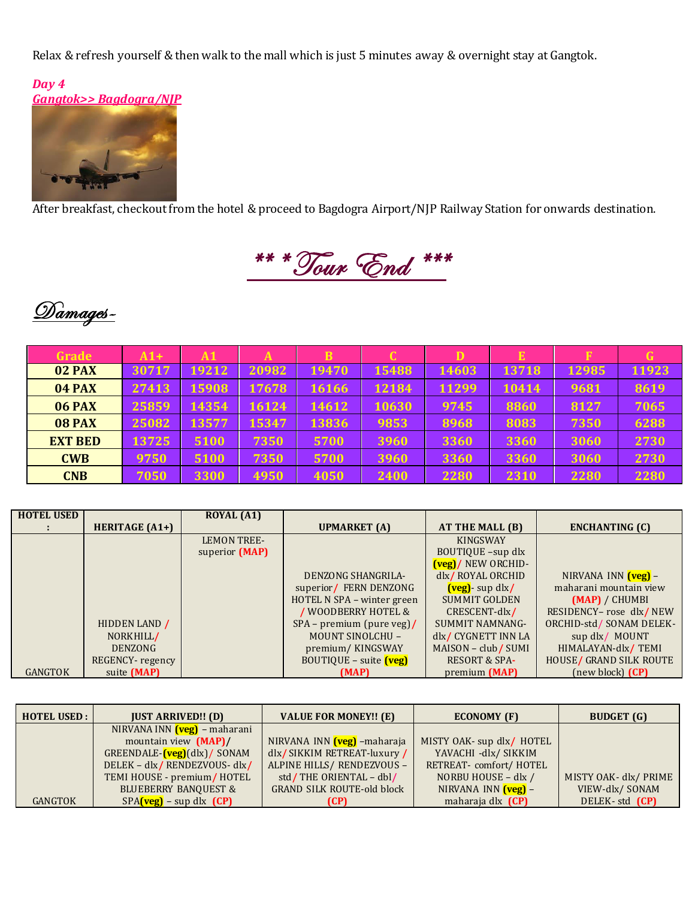Relax & refresh yourself & then walk to the mall which is just 5 minutes away & overnight stay at Gangtok.



After breakfast, checkout from the hotel & proceed to Bagdogra Airport/NJP Railway Station for onwards destination.





| Grade          | $A1+$ | A1    | A     | $\mathbf B$ | $\overline{\mathbf{C}}$ | D     | E     | F     | G     |
|----------------|-------|-------|-------|-------------|-------------------------|-------|-------|-------|-------|
| 02 PAX         | 30717 | 19212 | 20982 | 19470       | 15488                   | 14603 | 13718 | 12985 | 11923 |
| <b>04 PAX</b>  | 27413 | 15908 | 17678 | 16166       | 12184                   | 11299 | 10414 | 9681  | 8619  |
| <b>06 PAX</b>  | 25859 | 14354 | 16124 | 14612       | 10630                   | 9745  | 8860  | 8127  | 7065  |
| 08 PAX         | 25082 | 13577 | 15347 | 13836       | 9853                    | 8968  | 8083  | 7350  | 6288  |
| <b>EXT BED</b> | 13725 | 5100  | 7350  | 5700        | 3960                    | 3360  | 3360  | 3060  | 2730  |
| <b>CWB</b>     | 9750  | 5100  | 7350  | 5700        | 3960                    | 3360  | 3360  | 3060  | 2730  |
| <b>CNB</b>     | 7050  | 3300  | 4950  | 4050        | 2400                    | 2280  | 2310  | 2280  | 2280  |

| <b>HOTEL USED</b> |                       | <b>ROYAL</b> (A1)  |                            |                                                          |                           |
|-------------------|-----------------------|--------------------|----------------------------|----------------------------------------------------------|---------------------------|
|                   | <b>HERITAGE (A1+)</b> |                    | <b>UPMARKET</b> (A)        | AT THE MALL (B)                                          | <b>ENCHANTING (C)</b>     |
|                   |                       | <b>LEMON TREE-</b> |                            | <b>KINGSWAY</b>                                          |                           |
|                   |                       | superior (MAP)     |                            | BOUTIQUE -sup dlx                                        |                           |
|                   |                       |                    |                            | $\left(\frac{\text{veg}}{\text{veg}}\right)$ NEW ORCHID- |                           |
|                   |                       |                    | DENZONG SHANGRILA-         | dlx/ROYAL ORCHID                                         | NIRVANA INN (veg) -       |
|                   |                       |                    | superior/ FERN DENZONG     | $\left(\text{veg}\right)$ - sup dlx/                     | maharani mountain view    |
|                   |                       |                    | HOTEL N SPA - winter green | <b>SUMMIT GOLDEN</b>                                     | (MAP) / CHUMBI            |
|                   |                       |                    | / WOODBERRY HOTEL &        | CRESCENT-dlx/                                            | RESIDENCY- rose dlx/NEW   |
|                   | HIDDEN LAND /         |                    | $SPA - premium (pure veg)$ | SUMMIT NAMNANG-                                          | ORCHID-std / SONAM DELEK- |
|                   | NORKHILL/             |                    | <b>MOUNT SINOLCHU -</b>    | dlx/ CYGNETT INN LA                                      | sup dlx/ MOUNT            |
|                   | <b>DENZONG</b>        |                    | premium/KINGSWAY           | MAISON – club/SUMI                                       | HIMALAYAN-dlx/TEMI        |
|                   | REGENCY-regency       |                    | $BOUTIQUE - suite$ $(veg)$ | <b>RESORT &amp; SPA-</b>                                 | HOUSE/ GRAND SILK ROUTE   |
| <b>GANGTOK</b>    | suite (MAP)           |                    | (MAP)                      | premium (MAP)                                            | (new block) (CP)          |

| <b>HOTEL USED:</b> | <b>JUST ARRIVED!! (D)</b>                    | <b>VALUE FOR MONEY!!</b> (E)      | ECONOMY (F)                  | <b>BUDGET</b> (G)     |  |
|--------------------|----------------------------------------------|-----------------------------------|------------------------------|-----------------------|--|
|                    | NIRVANA INN $(\text{veg})$ – maharani        |                                   |                              |                       |  |
|                    | mountain view (MAP)/                         | NIRVANA INN (veg) -maharaja       | MISTY OAK- sup dlx/ HOTEL    |                       |  |
|                    | $GREENDALE$ - $(\text{veg})$ $(dlx)$ / SONAM | dlx/SIKKIM RETREAT-luxury/        | YAVACHI -dlx/ SIKKIM         |                       |  |
|                    | DELEK - dlx/RENDEZVOUS- dlx/                 | ALPINE HILLS/ RENDEZVOUS -        | RETREAT- comfort/HOTEL       |                       |  |
|                    | TEMI HOUSE - premium/HOTEL                   | std/THE ORIENTAL - dbl/           | NORBU HOUSE - dlx /          | MISTY OAK- dlx/ PRIME |  |
|                    | <b>BLUEBERRY BANQUEST &amp;</b>              | <b>GRAND SILK ROUTE-old block</b> | NIRVANA INN $(\text{veg})$ – | VIEW-dlx/SONAM        |  |
| <b>GANGTOK</b>     | $SPA$ (veg) – sup dlx (CP)                   | (CP)                              | maharaja dlx (CP)            | DELEK-std (CP)        |  |